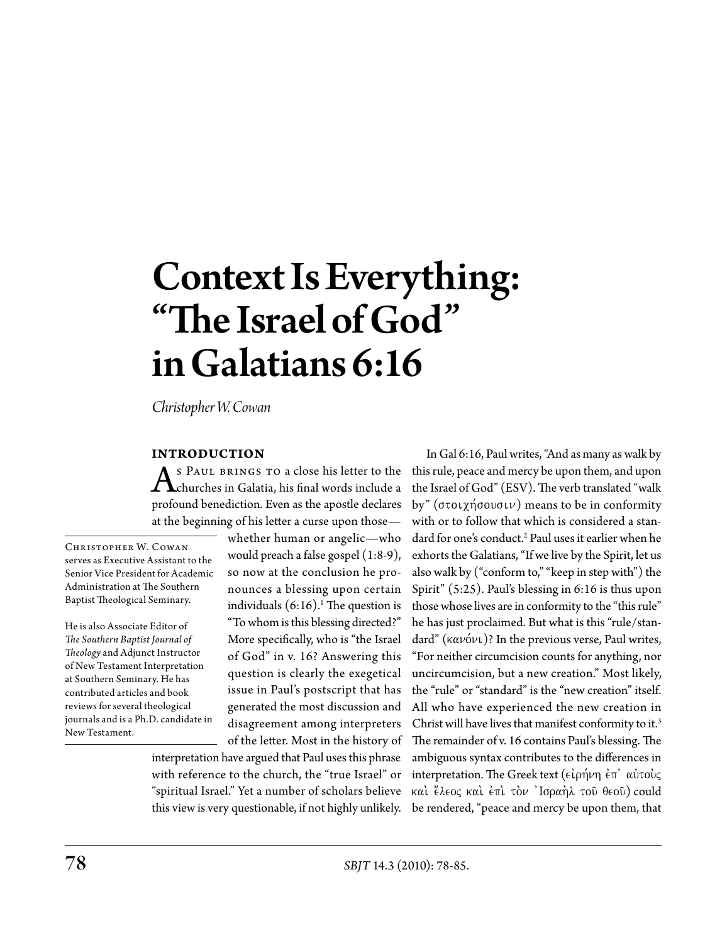# Context Is Everything: "The Israel of God" in Galatians 6:16

*Christopher W. Cowan*

#### **Introduction**

As PAUL BRINGS TO a close his letter to the<br>churches in Galatia, his final words include a<br>marked about his Free as the mostly deduce profound benediction. Even as the apostle declares at the beginning of his letter a curse upon those—

CHRISTOPHER W. COWAN serves as Executive Assistant to the Senior Vice President for Academic Administration at The Southern Baptist Theological Seminary.

He is also Associate Editor of *The Southern Baptist Journal of Theology* and Adjunct Instructor of New Testament Interpretation at Southern Seminary. He has contributed articles and book reviews for several theological journals and is a Ph.D. candidate in New Testament.

whether human or angelic—who would preach a false gospel (1:8-9), so now at the conclusion he pronounces a blessing upon certain individuals  $(6:16).$ <sup>1</sup> The question is "To whom is this blessing directed?" More specifically, who is "the Israel of God" in v. 16? Answering this question is clearly the exegetical issue in Paul's postscript that has generated the most discussion and disagreement among interpreters of the letter. Most in the history of

interpretation have argued that Paul uses this phrase with reference to the church, the "true Israel" or "spiritual Israel." Yet a number of scholars believe this view is very questionable, if not highly unlikely.

In Gal 6:16, Paul writes, "And as many as walk by this rule, peace and mercy be upon them, and upon the Israel of God" (ESV). The verb translated "walk by" ( $\sigma$ τοιχήσουσιν) means to be in conformity with or to follow that which is considered a standard for one's conduct.<sup>2</sup> Paul uses it earlier when he exhorts the Galatians, "If we live by the Spirit, let us also walk by ("conform to," "keep in step with") the Spirit" (5:25). Paul's blessing in 6:16 is thus upon those whose lives are in conformity to the "this rule" he has just proclaimed. But what is this "rule/standard" ( $\kappa \alpha \nu \acute{\omega} \nu$ )? In the previous verse, Paul writes, "For neither circumcision counts for anything, nor uncircumcision, but a new creation." Most likely, the "rule" or "standard" is the "new creation" itself. All who have experienced the new creation in Christ will have lives that manifest conformity to it.<sup>3</sup> The remainder of v. 16 contains Paul's blessing. The ambiguous syntax contributes to the differences in interpretation. The Greek text ( $\epsilon\iota\rho\eta\nu\eta\,\dot{\epsilon}\tau\dot{\alpha}\dot{\nu}$ καί έλεος καί έπί τον 'Ισραήλ του θεου) could be rendered, "peace and mercy be upon them, that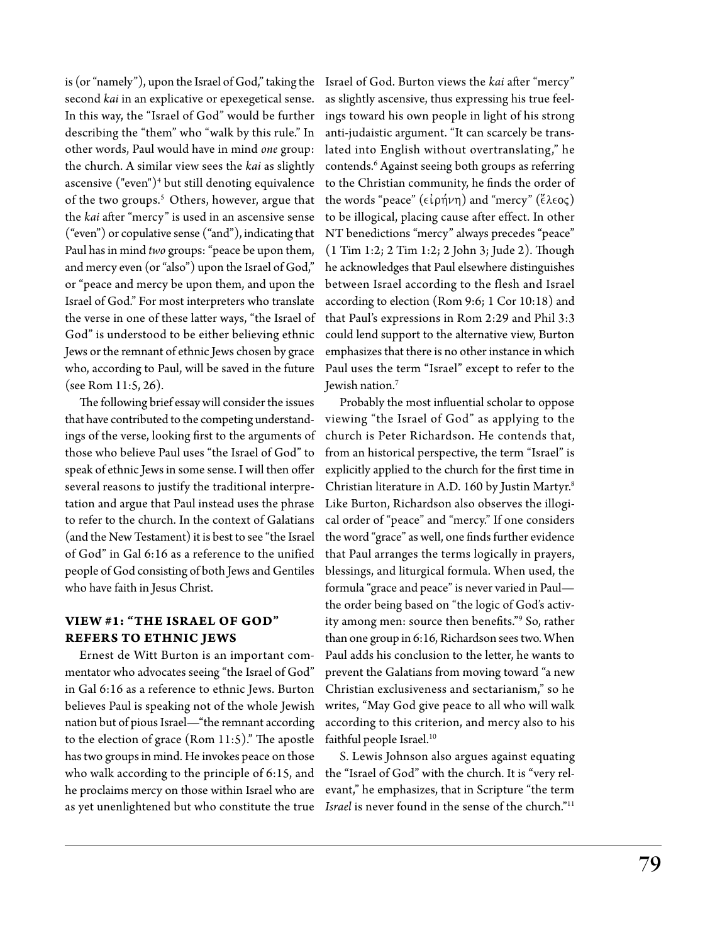is (or "namely"), upon the Israel of God," taking the Israel of God. Burton views the *kai* after "mercy" second *kai* in an explicative or epexegetical sense. In this way, the "Israel of God" would be further describing the "them" who "walk by this rule." In other words, Paul would have in mind *one* group: the church. A similar view sees the *kai* as slightly ascensive ("even")<sup>4</sup> but still denoting equivalence of the two groups.<sup>5</sup> Others, however, argue that the *kai* after "mercy" is used in an ascensive sense ("even") or copulative sense ("and"), indicating that Paul has in mind *two* groups: "peace be upon them, and mercy even (or "also") upon the Israel of God," or "peace and mercy be upon them, and upon the Israel of God." For most interpreters who translate the verse in one of these latter ways, "the Israel of God" is understood to be either believing ethnic Jews or the remnant of ethnic Jews chosen by grace who, according to Paul, will be saved in the future (see Rom 11:5, 26).

The following brief essay will consider the issues that have contributed to the competing understandings of the verse, looking first to the arguments of those who believe Paul uses "the Israel of God" to speak of ethnic Jews in some sense. I will then offer several reasons to justify the traditional interpretation and argue that Paul instead uses the phrase to refer to the church. In the context of Galatians (and the New Testament) it is best to see "the Israel of God" in Gal 6:16 as a reference to the unified people of God consisting of both Jews and Gentiles who have faith in Jesus Christ.

## **View #1: "The Israel of God" Refers to Ethnic Jews**

Ernest de Witt Burton is an important commentator who advocates seeing "the Israel of God" in Gal 6:16 as a reference to ethnic Jews. Burton believes Paul is speaking not of the whole Jewish nation but of pious Israel—"the remnant according to the election of grace (Rom 11:5)." The apostle has two groups in mind. He invokes peace on those who walk according to the principle of 6:15, and the "Israel of God" with the church. It is "very relhe proclaims mercy on those within Israel who are as yet unenlightened but who constitute the true

as slightly ascensive, thus expressing his true feelings toward his own people in light of his strong anti-judaistic argument. "It can scarcely be translated into English without overtranslating," he contends.<sup>6</sup> Against seeing both groups as referring to the Christian community, he finds the order of the words "peace" ( $\epsilon \iota \rho \eta \nu \eta$ ) and "mercy" ( $\epsilon \iota \epsilon o \varsigma$ ) to be illogical, placing cause after effect. In other NT benedictions "mercy" always precedes "peace" (1 Tim 1:2; 2 Tim 1:2; 2 John 3; Jude 2). Though he acknowledges that Paul elsewhere distinguishes between Israel according to the flesh and Israel according to election (Rom 9:6; 1 Cor 10:18) and that Paul's expressions in Rom 2:29 and Phil 3:3 could lend support to the alternative view, Burton emphasizes that there is no other instance in which Paul uses the term "Israel" except to refer to the Jewish nation.7

Probably the most influential scholar to oppose viewing "the Israel of God" as applying to the church is Peter Richardson. He contends that, from an historical perspective, the term "Israel" is explicitly applied to the church for the first time in Christian literature in A.D. 160 by Justin Martyr.8 Like Burton, Richardson also observes the illogical order of "peace" and "mercy." If one considers the word "grace" as well, one finds further evidence that Paul arranges the terms logically in prayers, blessings, and liturgical formula. When used, the formula "grace and peace" is never varied in Paul the order being based on "the logic of God's activity among men: source then benefits."9 So, rather than one group in 6:16, Richardson sees two. When Paul adds his conclusion to the letter, he wants to prevent the Galatians from moving toward "a new Christian exclusiveness and sectarianism," so he writes, "May God give peace to all who will walk according to this criterion, and mercy also to his faithful people Israel.<sup>10</sup>

S. Lewis Johnson also argues against equating evant," he emphasizes, that in Scripture "the term *Israel* is never found in the sense of the church."11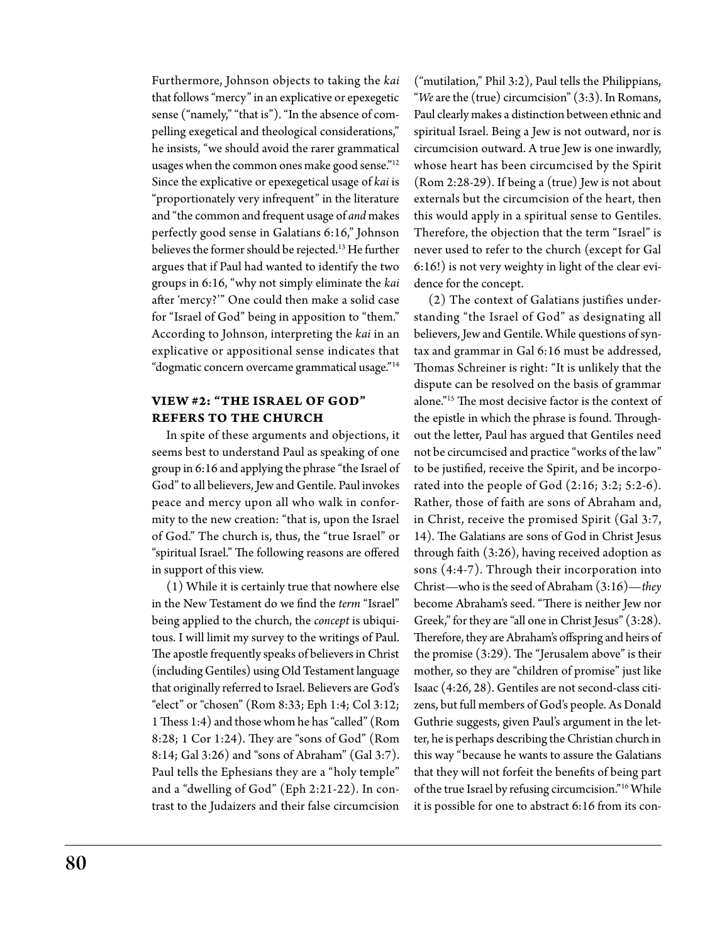Furthermore, Johnson objects to taking the *kai* that follows "mercy" in an explicative or epexegetic sense ("namely," "that is"). "In the absence of compelling exegetical and theological considerations," he insists, "we should avoid the rarer grammatical usages when the common ones make good sense."<sup>12</sup> Since the explicative or epexegetical usage of *kai* is "proportionately very infrequent" in the literature and "the common and frequent usage of *and* makes perfectly good sense in Galatians 6:16," Johnson believes the former should be rejected.13 He further argues that if Paul had wanted to identify the two groups in 6:16, "why not simply eliminate the *kai* after 'mercy?'" One could then make a solid case for "Israel of God" being in apposition to "them." According to Johnson, interpreting the *kai* in an explicative or appositional sense indicates that "dogmatic concern overcame grammatical usage."14

### **View #2: "The Israel of God" Refers to the Church**

In spite of these arguments and objections, it seems best to understand Paul as speaking of one group in 6:16 and applying the phrase "the Israel of God" to all believers, Jew and Gentile. Paul invokes peace and mercy upon all who walk in conformity to the new creation: "that is, upon the Israel of God." The church is, thus, the "true Israel" or "spiritual Israel." The following reasons are offered in support of this view.

(1) While it is certainly true that nowhere else in the New Testament do we find the *term* "Israel" being applied to the church, the *concept* is ubiquitous. I will limit my survey to the writings of Paul. The apostle frequently speaks of believers in Christ (including Gentiles) using Old Testament language that originally referred to Israel. Believers are God's "elect" or "chosen" (Rom 8:33; Eph 1:4; Col 3:12; 1 Thess 1:4) and those whom he has "called" (Rom 8:28; 1 Cor 1:24). They are "sons of God" (Rom 8:14; Gal 3:26) and "sons of Abraham" (Gal 3:7). Paul tells the Ephesians they are a "holy temple" and a "dwelling of God" (Eph 2:21-22). In contrast to the Judaizers and their false circumcision

("mutilation," Phil 3:2), Paul tells the Philippians, "*We* are the (true) circumcision" (3:3). In Romans, Paul clearly makes a distinction between ethnic and spiritual Israel. Being a Jew is not outward, nor is circumcision outward. A true Jew is one inwardly, whose heart has been circumcised by the Spirit (Rom 2:28-29). If being a (true) Jew is not about externals but the circumcision of the heart, then this would apply in a spiritual sense to Gentiles. Therefore, the objection that the term "Israel" is never used to refer to the church (except for Gal 6:16!) is not very weighty in light of the clear evidence for the concept.

(2) The context of Galatians justifies understanding "the Israel of God" as designating all believers, Jew and Gentile. While questions of syntax and grammar in Gal 6:16 must be addressed, Thomas Schreiner is right: "It is unlikely that the dispute can be resolved on the basis of grammar alone."15 The most decisive factor is the context of the epistle in which the phrase is found. Throughout the letter, Paul has argued that Gentiles need not be circumcised and practice "works of the law" to be justified, receive the Spirit, and be incorporated into the people of God (2:16; 3:2; 5:2-6). Rather, those of faith are sons of Abraham and, in Christ, receive the promised Spirit (Gal 3:7, 14). The Galatians are sons of God in Christ Jesus through faith (3:26), having received adoption as sons (4:4-7). Through their incorporation into Christ—who is the seed of Abraham (3:16)—*they* become Abraham's seed. "There is neither Jew nor Greek," for they are "all one in Christ Jesus" (3:28). Therefore, they are Abraham's offspring and heirs of the promise (3:29). The "Jerusalem above" is their mother, so they are "children of promise" just like Isaac (4:26, 28). Gentiles are not second-class citizens, but full members of God's people. As Donald Guthrie suggests, given Paul's argument in the letter, he is perhaps describing the Christian church in this way "because he wants to assure the Galatians that they will not forfeit the benefits of being part of the true Israel by refusing circumcision."16 While it is possible for one to abstract 6:16 from its con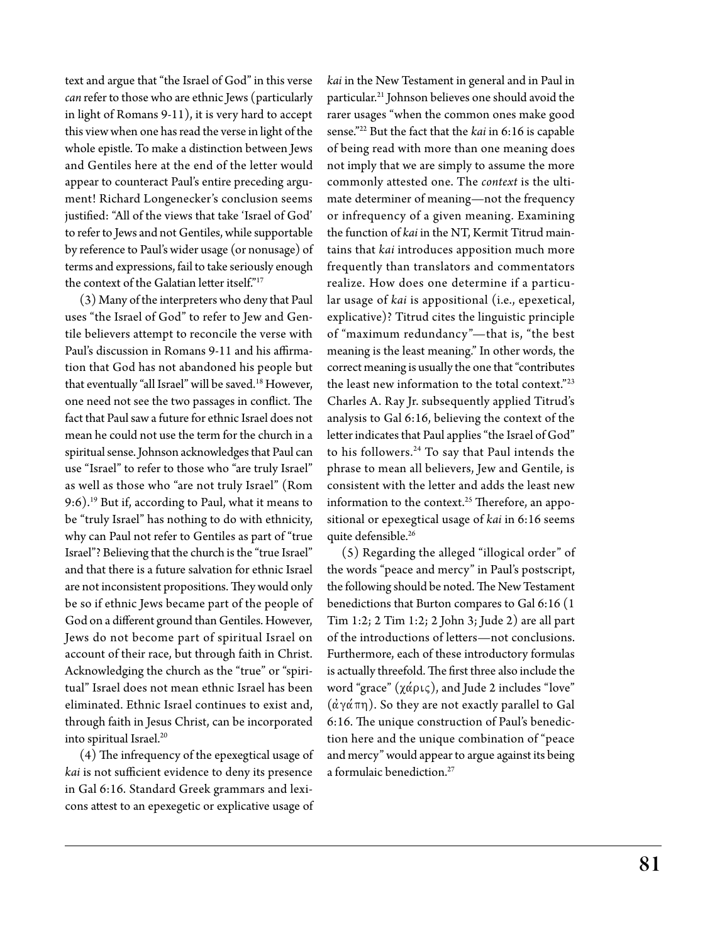text and argue that "the Israel of God" in this verse *can* refer to those who are ethnic Jews (particularly in light of Romans 9-11), it is very hard to accept this view when one has read the verse in light of the whole epistle. To make a distinction between Jews and Gentiles here at the end of the letter would appear to counteract Paul's entire preceding argument! Richard Longenecker's conclusion seems justified: "All of the views that take 'Israel of God' to refer to Jews and not Gentiles, while supportable by reference to Paul's wider usage (or nonusage) of terms and expressions, fail to take seriously enough the context of the Galatian letter itself."17

(3) Many of the interpreters who deny that Paul uses "the Israel of God" to refer to Jew and Gentile believers attempt to reconcile the verse with Paul's discussion in Romans 9-11 and his affirmation that God has not abandoned his people but that eventually "all Israel" will be saved.<sup>18</sup> However, one need not see the two passages in conflict. The fact that Paul saw a future for ethnic Israel does not mean he could not use the term for the church in a spiritual sense. Johnson acknowledges that Paul can use "Israel" to refer to those who "are truly Israel" as well as those who "are not truly Israel" (Rom 9:6).19 But if, according to Paul, what it means to be "truly Israel" has nothing to do with ethnicity, why can Paul not refer to Gentiles as part of "true Israel"? Believing that the church is the "true Israel" and that there is a future salvation for ethnic Israel are not inconsistent propositions. They would only be so if ethnic Jews became part of the people of God on a different ground than Gentiles. However, Jews do not become part of spiritual Israel on account of their race, but through faith in Christ. Acknowledging the church as the "true" or "spiritual" Israel does not mean ethnic Israel has been eliminated. Ethnic Israel continues to exist and, through faith in Jesus Christ, can be incorporated into spiritual Israel.<sup>20</sup>

(4) The infrequency of the epexegtical usage of *kai* is not sufficient evidence to deny its presence in Gal 6:16. Standard Greek grammars and lexicons attest to an epexegetic or explicative usage of

*kai* in the New Testament in general and in Paul in particular.21 Johnson believes one should avoid the rarer usages "when the common ones make good sense."22 But the fact that the *kai* in 6:16 is capable of being read with more than one meaning does not imply that we are simply to assume the more commonly attested one. The *context* is the ultimate determiner of meaning—not the frequency or infrequency of a given meaning. Examining the function of *kai* in the NT, Kermit Titrud maintains that *kai* introduces apposition much more frequently than translators and commentators realize. How does one determine if a particular usage of *kai* is appositional (i.e., epexetical, explicative)? Titrud cites the linguistic principle of "maximum redundancy"—that is, "the best meaning is the least meaning." In other words, the correct meaning is usually the one that "contributes the least new information to the total context."<sup>23</sup> Charles A. Ray Jr. subsequently applied Titrud's analysis to Gal 6:16, believing the context of the letter indicates that Paul applies "the Israel of God" to his followers.<sup>24</sup> To say that Paul intends the phrase to mean all believers, Jew and Gentile, is consistent with the letter and adds the least new information to the context.<sup>25</sup> Therefore, an appositional or epexegtical usage of *kai* in 6:16 seems quite defensible.<sup>26</sup>

(5) Regarding the alleged "illogical order" of the words "peace and mercy" in Paul's postscript, the following should be noted. The New Testament benedictions that Burton compares to Gal 6:16 (1 Tim 1:2; 2 Tim 1:2; 2 John 3; Jude 2) are all part of the introductions of letters—not conclusions. Furthermore, each of these introductory formulas is actually threefold. The first three also include the word "grace"  $(\chi \acute{\alpha} \rho$ ις), and Jude 2 includes "love"  $(\alpha \gamma \alpha \pi \eta)$ . So they are not exactly parallel to Gal 6:16. The unique construction of Paul's benediction here and the unique combination of "peace and mercy" would appear to argue against its being a formulaic benediction.<sup>27</sup>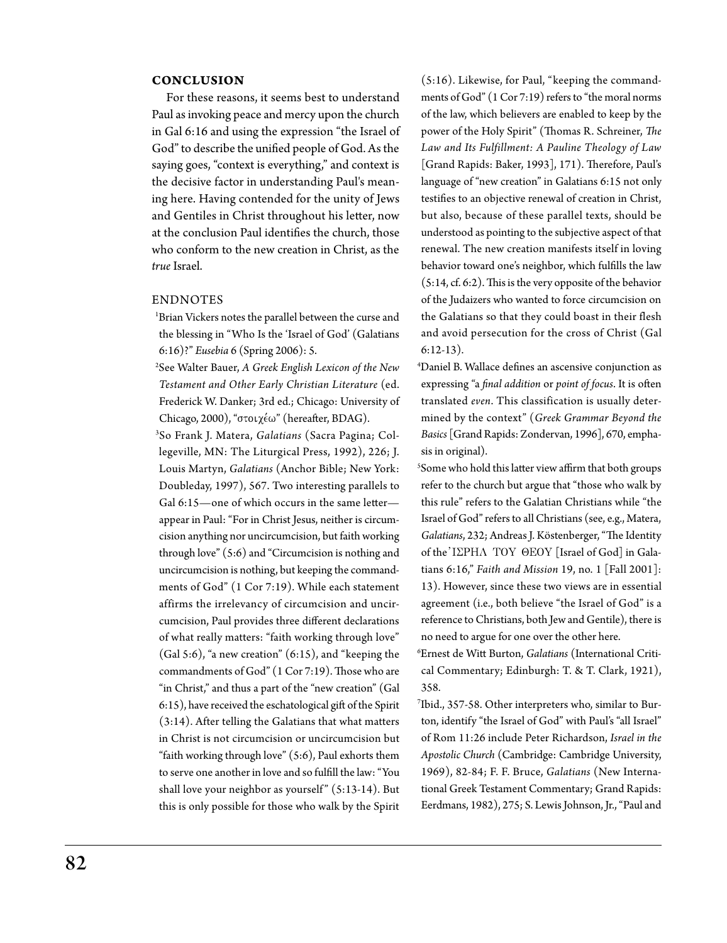#### **CONCLUSION**

For these reasons, it seems best to understand Paul as invoking peace and mercy upon the church in Gal 6:16 and using the expression "the Israel of God" to describe the unified people of God. As the saying goes, "context is everything," and context is the decisive factor in understanding Paul's meaning here. Having contended for the unity of Jews and Gentiles in Christ throughout his letter, now at the conclusion Paul identifies the church, those who conform to the new creation in Christ, as the *true* Israel.

#### **ENDNOTES**

- 1 Brian Vickers notes the parallel between the curse and the blessing in "Who Is the 'Israel of God' (Galatians 6:16)?" *Eusebia* 6 (Spring 2006): 5.
- 2 See Walter Bauer, *A Greek English Lexicon of the New Testament and Other Early Christian Literature* (ed. Frederick W. Danker; 3rd ed.; Chicago: University of Chicago, 2000), "στοιχέω" (hereafter, BDAG).
- 3 So Frank J. Matera, *Galatians* (Sacra Pagina; Collegeville, MN: The Liturgical Press, 1992), 226; J. Louis Martyn, *Galatians* (Anchor Bible; New York: Doubleday, 1997), 567. Two interesting parallels to Gal 6:15-one of which occurs in the same letterappear in Paul: "For in Christ Jesus, neither is circumcision anything nor uncircumcision, but faith working through love" (5:6) and "Circumcision is nothing and uncircumcision is nothing, but keeping the commandments of God" (1 Cor 7:19). While each statement affirms the irrelevancy of circumcision and uncircumcision, Paul provides three different declarations of what really matters: "faith working through love" (Gal 5:6), "a new creation" (6:15), and "keeping the commandments of God" (1 Cor 7:19). Those who are "in Christ," and thus a part of the "new creation" (Gal 6:15), have received the eschatological gift of the Spirit (3:14). After telling the Galatians that what matters in Christ is not circumcision or uncircumcision but "faith working through love" (5:6), Paul exhorts them to serve one another in love and so fulfill the law: "You shall love your neighbor as yourself"  $(5:13-14)$ . But this is only possible for those who walk by the Spirit

(5:16). Likewise, for Paul, "keeping the commandments of God" (1 Cor 7:19) refers to "the moral norms of the law, which believers are enabled to keep by the power of the Holy Spirit" (Thomas R. Schreiner, *The Law and Its Fulfillment: A Pauline Theology of Law*  [Grand Rapids: Baker, 1993], 171). Therefore, Paul's language of "new creation" in Galatians 6:15 not only testifies to an objective renewal of creation in Christ, but also, because of these parallel texts, should be understood as pointing to the subjective aspect of that renewal. The new creation manifests itself in loving behavior toward one's neighbor, which fulfills the law (5:14, cf. 6:2). This is the very opposite of the behavior of the Judaizers who wanted to force circumcision on the Galatians so that they could boast in their flesh and avoid persecution for the cross of Christ (Gal 6:12-13).

4 Daniel B. Wallace defines an ascensive conjunction as expressing "a *final addition* or *point of focus*. It is often translated *even*. This classification is usually determined by the context" (*Greek Grammar Beyond the Basics* [Grand Rapids: Zondervan, 1996], 670, emphasis in original).

5 Some who hold this latter view affirm that both groups refer to the church but argue that "those who walk by this rule" refers to the Galatian Christians while "the Israel of God" refers to all Christians (see, e.g., Matera, *Galatians*, 232; Andreas J. Köstenberger, "The Identity of the I $\Sigma$ PHA TOY  $\Theta$ EOY [Israel of God] in Galatians 6:16," *Faith and Mission* 19, no. 1 [Fall 2001]: 13). However, since these two views are in essential agreement (i.e., both believe "the Israel of God" is a reference to Christians, both Jew and Gentile), there is no need to argue for one over the other here.

6 Ernest de Witt Burton, *Galatians* (International Critical Commentary; Edinburgh: T. & T. Clark, 1921), 358.

7 Ibid., 357-58. Other interpreters who, similar to Burton, identify "the Israel of God" with Paul's "all Israel" of Rom 11:26 include Peter Richardson, *Israel in the Apostolic Church* (Cambridge: Cambridge University, 1969), 82-84; F. F. Bruce, *Galatians* (New International Greek Testament Commentary; Grand Rapids: Eerdmans, 1982), 275; S. Lewis Johnson, Jr., "Paul and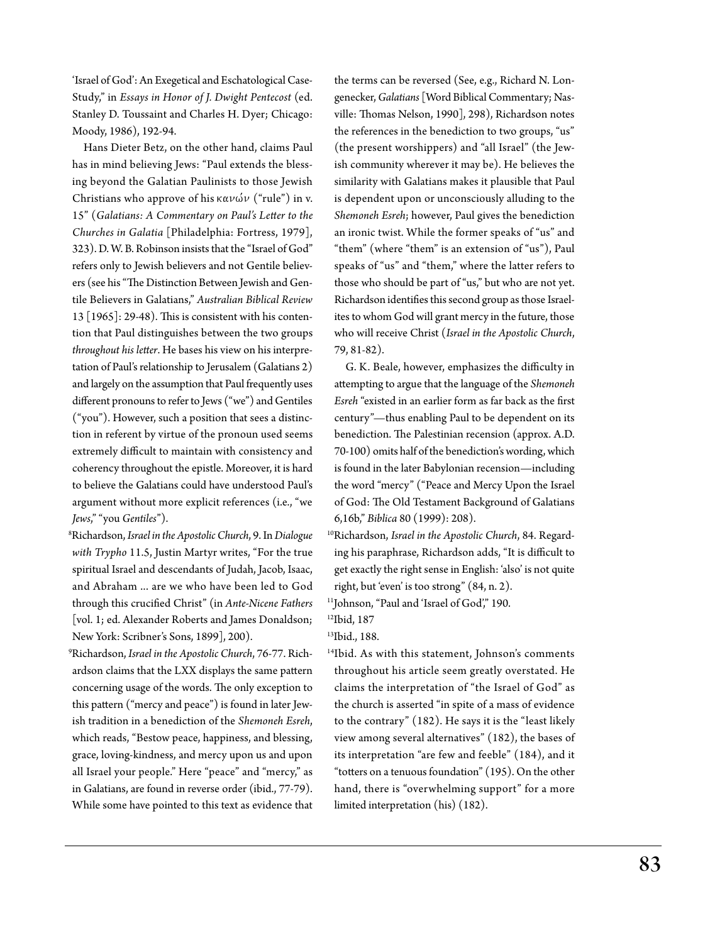'Israel of God': An Exegetical and Eschatological Case-Study," in *Essays in Honor of J. Dwight Pentecost* (ed. Stanley D. Toussaint and Charles H. Dyer; Chicago: Moody, 1986), 192-94.

 Hans Dieter Betz, on the other hand, claims Paul has in mind believing Jews: "Paul extends the blessing beyond the Galatian Paulinists to those Jewish Christians who approve of his  $\kappa \alpha \nu \omega' \nu$  ("rule") in v. 15" (*Galatians: A Commentary on Paul's Letter to the Churches in Galatia* [Philadelphia: Fortress, 1979], 323). D. W. B. Robinson insists that the "Israel of God" refers only to Jewish believers and not Gentile believers (see his "The Distinction Between Jewish and Gentile Believers in Galatians," *Australian Biblical Review* 13 [1965]: 29-48). This is consistent with his contention that Paul distinguishes between the two groups *throughout his letter*. He bases his view on his interpretation of Paul's relationship to Jerusalem (Galatians 2) and largely on the assumption that Paul frequently uses different pronouns to refer to Jews ("we") and Gentiles ("you"). However, such a position that sees a distinction in referent by virtue of the pronoun used seems extremely difficult to maintain with consistency and coherency throughout the epistle. Moreover, it is hard to believe the Galatians could have understood Paul's argument without more explicit references (i.e., "we *Jews*," "you *Gentiles*").

8 Richardson, *Israel in the Apostolic Church*, 9. In *Dialogue with Trypho* 11.5, Justin Martyr writes, "For the true spiritual Israel and descendants of Judah, Jacob, Isaac, and Abraham ... are we who have been led to God through this crucified Christ" (in *Ante-Nicene Fathers* [vol. 1; ed. Alexander Roberts and James Donaldson; New York: Scribner's Sons, 1899], 200).

9 Richardson, *Israel in the Apostolic Church*, 76-77. Richardson claims that the LXX displays the same pattern concerning usage of the words. The only exception to this pattern ("mercy and peace") is found in later Jewish tradition in a benediction of the *Shemoneh Esreh*, which reads, "Bestow peace, happiness, and blessing, grace, loving-kindness, and mercy upon us and upon all Israel your people." Here "peace" and "mercy," as in Galatians, are found in reverse order (ibid., 77-79). While some have pointed to this text as evidence that the terms can be reversed (See, e.g., Richard N. Longenecker, *Galatians* [Word Biblical Commentary; Nasville: Thomas Nelson, 1990], 298), Richardson notes the references in the benediction to two groups, "us" (the present worshippers) and "all Israel" (the Jewish community wherever it may be). He believes the similarity with Galatians makes it plausible that Paul is dependent upon or unconsciously alluding to the *Shemoneh Esreh*; however, Paul gives the benediction an ironic twist. While the former speaks of "us" and "them" (where "them" is an extension of "us"), Paul speaks of "us" and "them," where the latter refers to those who should be part of "us," but who are not yet. Richardson identifies this second group as those Israelites to whom God will grant mercy in the future, those who will receive Christ (*Israel in the Apostolic Church*, 79, 81-82).

 G. K. Beale, however, emphasizes the difficulty in attempting to argue that the language of the *Shemoneh Esreh* "existed in an earlier form as far back as the first century"—thus enabling Paul to be dependent on its benediction. The Palestinian recension (approx. A.D. 70-100) omits half of the benediction's wording, which is found in the later Babylonian recension—including the word "mercy" ("Peace and Mercy Upon the Israel of God: The Old Testament Background of Galatians 6,16b," *Biblica* 80 (1999): 208).

10Richardson, *Israel in the Apostolic Church*, 84. Regarding his paraphrase, Richardson adds, "It is difficult to get exactly the right sense in English: 'also' is not quite right, but 'even' is too strong" (84, n. 2).

<sup>11</sup>Johnson, "Paul and 'Israel of God'," 190.

<sup>12</sup>Ibid, 187

13Ibid., 188.

14Ibid. As with this statement, Johnson's comments throughout his article seem greatly overstated. He claims the interpretation of "the Israel of God" as the church is asserted "in spite of a mass of evidence to the contrary" (182). He says it is the "least likely view among several alternatives" (182), the bases of its interpretation "are few and feeble" (184), and it "totters on a tenuous foundation" (195). On the other hand, there is "overwhelming support" for a more limited interpretation (his) (182).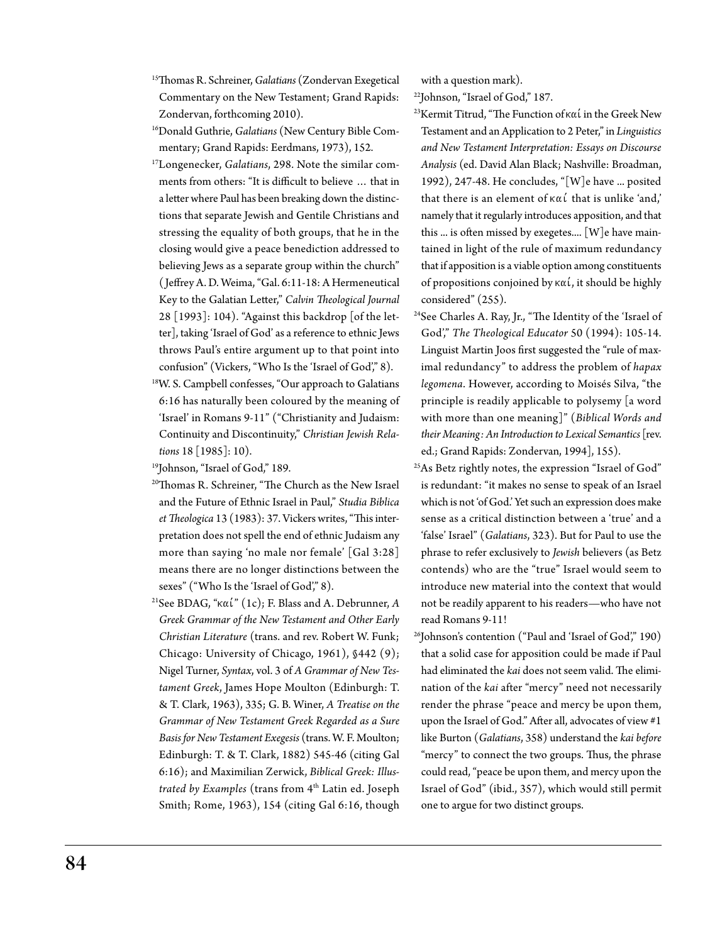- 15Thomas R. Schreiner, *Galatians* (Zondervan Exegetical Commentary on the New Testament; Grand Rapids: Zondervan, forthcoming 2010).
- 16Donald Guthrie, *Galatians* (New Century Bible Commentary; Grand Rapids: Eerdmans, 1973), 152.
- 17Longenecker, *Galatians*, 298. Note the similar comments from others: "It is difficult to believe … that in a letter where Paul has been breaking down the distinctions that separate Jewish and Gentile Christians and stressing the equality of both groups, that he in the closing would give a peace benediction addressed to believing Jews as a separate group within the church" ( Jeffrey A. D. Weima, "Gal. 6:11-18: A Hermeneutical Key to the Galatian Letter," *Calvin Theological Journal*  28 [1993]: 104). "Against this backdrop [of the letter], taking 'Israel of God' as a reference to ethnic Jews throws Paul's entire argument up to that point into confusion" (Vickers, "Who Is the 'Israel of God'," 8).
- 18W. S. Campbell confesses, "Our approach to Galatians 6:16 has naturally been coloured by the meaning of 'Israel' in Romans 9-11" ("Christianity and Judaism: Continuity and Discontinuity," *Christian Jewish Relations* 18 [1985]: 10).
- <sup>19</sup>Johnson, "Israel of God," 189.
- 20Thomas R. Schreiner, "The Church as the New Israel and the Future of Ethnic Israel in Paul," *Studia Biblica et Theologica* 13 (1983): 37. Vickers writes, "This interpretation does not spell the end of ethnic Judaism any more than saying 'no male nor female' [Gal 3:28] means there are no longer distinctions between the sexes" ("Who Is the 'Israel of God'," 8).
- <sup>21</sup>See BDAG, "καί" (1c); F. Blass and A. Debrunner, A *Greek Grammar of the New Testament and Other Early Christian Literature* (trans. and rev. Robert W. Funk; Chicago: University of Chicago, 1961), §442 (9); Nigel Turner, *Syntax*, vol. 3 of *A Grammar of New Testament Greek*, James Hope Moulton (Edinburgh: T. & T. Clark, 1963), 335; G. B. Winer, *A Treatise on the Grammar of New Testament Greek Regarded as a Sure Basis for New Testament Exegesis* (trans. W. F. Moulton; Edinburgh: T. & T. Clark, 1882) 545-46 (citing Gal 6:16); and Maximilian Zerwick, *Biblical Greek: Illustrated by Examples* (trans from 4<sup>th</sup> Latin ed. Joseph Smith; Rome, 1963), 154 (citing Gal 6:16, though

with a question mark).

22Johnson, "Israel of God," 187.

- <sup>23</sup>Kermit Titrud, "The Function of  $\kappa\alpha'$  in the Greek New Testament and an Application to 2 Peter," in *Linguistics and New Testament Interpretation: Essays on Discourse Analysis* (ed. David Alan Black; Nashville: Broadman, 1992), 247-48. He concludes, "[W]e have ... posited that there is an element of  $\kappa \alpha'$  that is unlike 'and,' namely that it regularly introduces apposition, and that this ... is often missed by exegetes....  $[W]$ e have maintained in light of the rule of maximum redundancy that if apposition is a viable option among constituents of propositions conjoined by  $\kappa \alpha'$ , it should be highly considered" (255).
- 24See Charles A. Ray, Jr., "The Identity of the 'Israel of God'," *The Theological Educator* 50 (1994): 105-14. Linguist Martin Joos first suggested the "rule of maximal redundancy" to address the problem of *hapax legomena*. However, according to Moisés Silva, "the principle is readily applicable to polysemy [a word with more than one meaning]" (*Biblical Words and their Meaning: An Introduction to Lexical Semantics* [rev. ed.; Grand Rapids: Zondervan, 1994], 155).
- 25As Betz rightly notes, the expression "Israel of God" is redundant: "it makes no sense to speak of an Israel which is not 'of God.' Yet such an expression does make sense as a critical distinction between a 'true' and a 'false' Israel" (*Galatians*, 323). But for Paul to use the phrase to refer exclusively to *Jewish* believers (as Betz contends) who are the "true" Israel would seem to introduce new material into the context that would not be readily apparent to his readers—who have not read Romans 9-11!
- $^{26}$ Johnson's contention ("Paul and 'Israel of God'," 190) that a solid case for apposition could be made if Paul had eliminated the *kai* does not seem valid. The elimination of the *kai* after "mercy" need not necessarily render the phrase "peace and mercy be upon them, upon the Israel of God." After all, advocates of view #1 like Burton (*Galatians*, 358) understand the *kai before* "mercy" to connect the two groups. Thus, the phrase could read, "peace be upon them, and mercy upon the Israel of God" (ibid., 357), which would still permit one to argue for two distinct groups.